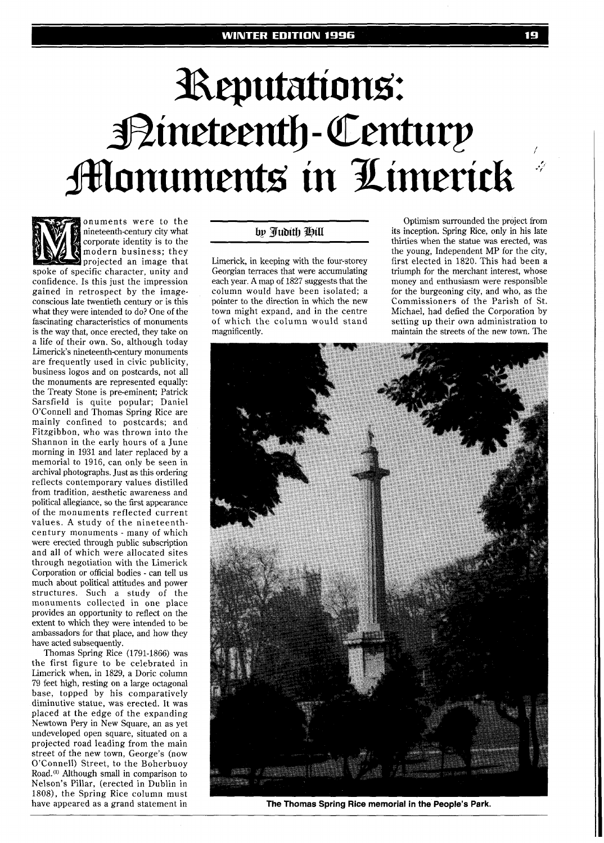## Reputations: Bineteenth-Century **Monuments in Limerick**



onuments were to the nineteenth-century city what corporate identity is to the modern business; they projected an image that spoke of specific character, unity and confidence. Is this just the impression

gained in retrospect by the imageconscious late twentieth century or is this what they were intended to do? One of the fascinating characteristics of monuments is the way that, once erected, they take on a life of their own. So, although today Limerick's nineteenth-century monuments are frequently used in civic publicity, business logos and on postcards, not all the monuments are represented equally: the Treaty Stone is pre-eminent; Patrick Sarsfield is quite popular; Daniel O'Connell and Thomas Spring Rice are mainly confined to postcards; and Fitzgibbon, who was thrown into the Shannon in the early hours of a June morning in 1931 and later replaced by a memorial to 1916, can only be seen in archival photographs. Just as this ordering reflects contemporary values distilled from tradition, aesthetic awareness and political allegiance, so the first appearance of the monuments reflected current values. A study of the nineteenthcentury monuments - many of which were erected through public subscription and all of which were allocated sites through negotiation with the Limerick Corporation or official bodies - can tell us much about political attitudes and power structures. Such a study of the monuments collected in one place provides an opportunity to reflect on the extent to which they were intended to be ambassadors for that place, and how they have acted subsequently.

Thomas Spring Rice (1791-1866) was the first figure to be celebrated in Limerick when, in 1829, a Doric column 79 feet high, resting on a large octagonal base, topped by his comparatively diminutive statue, was erected. It was placed at the edge of the expanding Newtown Pery in New Square, an as yet undeveloped open square, situated on a projected road leading from the main street of the new town, George's (now O'Connell) Street, to the Boherbuoy Road.") Although small in comparison to Nelson's Pillar, (erected in Dublin in 1808), the Spring Rice column must have appeared as a grand statement in

## by Judith Hill

-

Limerick, in keeping with the four-storey Georgian terraces that were accumulating each year. A map of 1827 suggests that the column would have been isolated; a pointer to the direction in which the new town might expand, and in the centre of which the column would stand magnificently.

Optimism surrounded the project from its inception. Spring Rice, only in his late thirties when the statue was erected, was the young, Independent MP for the city, first elected in 1820. This had been a triumph for the merchant interest, whose money and enthusiasm were responsible for the burgeoning city, and who, as the Commissioners of the Parish of St. Michael, had defied the Corporation by setting up their own administration to maintain the streets of the new town. The



**The Thomas Spring Rice memorial in the People's Park.**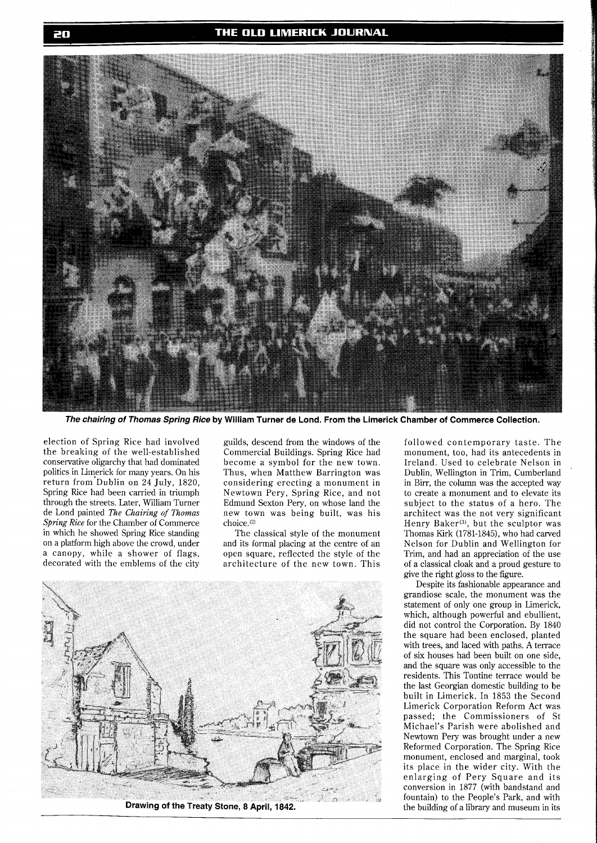

**The chairing of Thomas Spring Rice by William Turner de Lond. From the Limerick Chamber of Commerce Collection.** 

election of Spring Rice had involved the breaking of the well-established conservative oligarchy that had dominated politics in Limerick for many years. On his return from Dublin on 24 July, 1820, Spring Rice had been carried in triumph through the streets. Later, William Turner de Lond painted *The Chairing of Thomas Spm'ng* **Rice** for the Chamber of Commerce in which he showed Spring Rice standing on a platform high above the crowd, under a canopy, while a shower of flags, decorated with the emblems of the city

guilds, descend from the windows of the Commercial Buildings. Spring Rice had become a symbol for the new town. Thus, when Matthew Barrington was considering erecting a monument in Newtown Pery, Spring Rice, and not Edmund Sexton Pery, on whose land the new town was being built, was his choice.<sup>(2)</sup>

The classical style of the monument and its formal placing at the centre of an open square, reflected the style of the architecture of the new town. This



Drawing of the Treaty Stone, 8 April, 1842.

followed contemporary taste. The monument, too, had its antecedents in Ireland. Used to celebrate Nelson in Dublin, Wellington in Trim, Cumberland in Birr, the column was the accepted way to create a monument and to elevate its subject to the status of a hero. The architect was the not very significant Henry Baker<sup>(3)</sup>, but the sculptor was Thomas Kirk (1781-1845), who had carved Nelson for Dublin and Wellington for Trim, and had an appreciation of the use of a classical cloak and a proud gesture to give the right gloss to the figure.

Despite its fashionable appearance and grandiose scale, the monument was the statement of only one group in Limerick, which, although powerful and ebullient, did not control the Corporation. By 1840 the square had been enclosed, planted with trees, and laced with paths. A terrace of six houses had been built on one side, and the square was only accessible to the residents. This Tontine terrace would be the last Georgian domestic building to be built in Limerick. In 1853 the Second Limerick Corporation Reform Act was passed; the Commissioners of St Michael's Parish were abolished and Newtown Pery was brought under a new Reformed Corporation. The Spring Rice monument, enclosed and marginal, took its place in the wider city. With the enlarging of Pery Square and its conversion in 1877 (with bandstand and fountain) to the People's Park, and with the building of a library and museum in its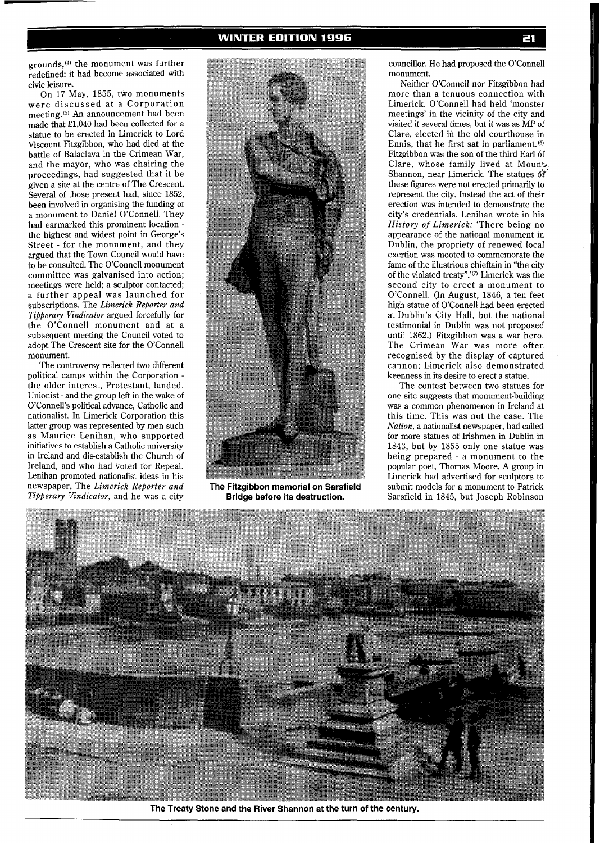grounds,<sup>(4)</sup> the monument was further redefined: it had become associated with civic leisure.

On 17 May, 1855, two monuments were discussed at a Corporation meeting.(5) **An** announcement had been made that £1,040 had been collected for a statue to be erected in Limerick to Lord Viscount Fitzgibbon, who had died at the battle of Balaclava in the Crimean War, and the mayor, who was chairing the proceedings, had suggested that it be given a site at the centre of The Crescent. Several of those present had, since 1852, been involved in organising the funding of a monument to Daniel O'Connell. They had earmarked this prominent location the highest and widest point in George's Street - for the monument, and they argued that the Town Council would have to be consulted. The O'Connell monument committee was galvanised into action; meetings were held; a sculptor contacted; a further appeal was launched for subscriptions. The *Limerick Reporter and Tipperary Vindicator* argued forcefully for the O'Connell monument and at a subsequent meeting the Council voted to adopt The Crescent site for the O'Connell monument.

The controversy reflected two different political camps within the Corporation the older interest, Protestant, landed, Unionist - and the group left in the wake of O'Connell's political advance, Catholic and nationalist. In Limerick Corporation this latter group was represented by men such as Maurice Lenihan, who supported initiatives to establish a Catholic university in Ireland and dis-establish the Church of Ireland, and who had voted for Repeal. Lenihan promoted nationalist ideas in his newspaper, The *Limerick Reporter and Tipperary Vindicator,* and he was a city



**The Fitzgibbon memorial on Sarsfield Bridge before its destruction.** 

councillor. He had proposed the O'Connell monument.

Neither O'Connell nor Fitzgibbon had more than a tenuous connection with Limerick. O'Connell had held 'monster meetings' in the vicinity of the city and visited it several times, but it was as MP of Clare, elected in the old courthouse in Ennis, that he first sat in parliament.<sup>(6)</sup> Fitzgibbon was the son of the third Earl 6f Clare, whose family lived at Mount, Shannon, near Limerick. The statues 6f these figures were not erected primarily to represent the city. Instead the act of their erection was intended to demonstrate the city's credentials. Lenihan wrote in his *History of Limerick:* 'There being no appearance of the national monument in Dublin, the propriety of renewed local exertion was mooted to commemorate the fame of the illustrious chieftain in "the city of the violated treaty".'<sup>(7)</sup> Limerick was the second city to erect a monument to O'Connell. (In August, 1846, a ten feet high statue of O'Connell had been erected at Dublin's City Hall, but the national testimonial in Dublin was not proposed until 1862.) Fitzgibbon was a war hero. The Crimean War was more often recognised by the display of captured cannon; Limerick also demonstrated keenness in its desire to erect a statue.

The contest between two statues for one site suggests that monument-building was a common phenomenon in Ireland at this time. This was not the case. The *Nation,* a nationalist newspaper, had called for more statues of Irishmen in Dublin in 1843, but by 1855 only one statue was being prepared - a monument to the popular poet, Thomas Moore. A group in Limerick had advertised for sculptors to submit models for a monument to Patrick Sarsfield in 1845, but Joseph Robinson



**The Treaty Stone and the River Shannon at the turn of the century.**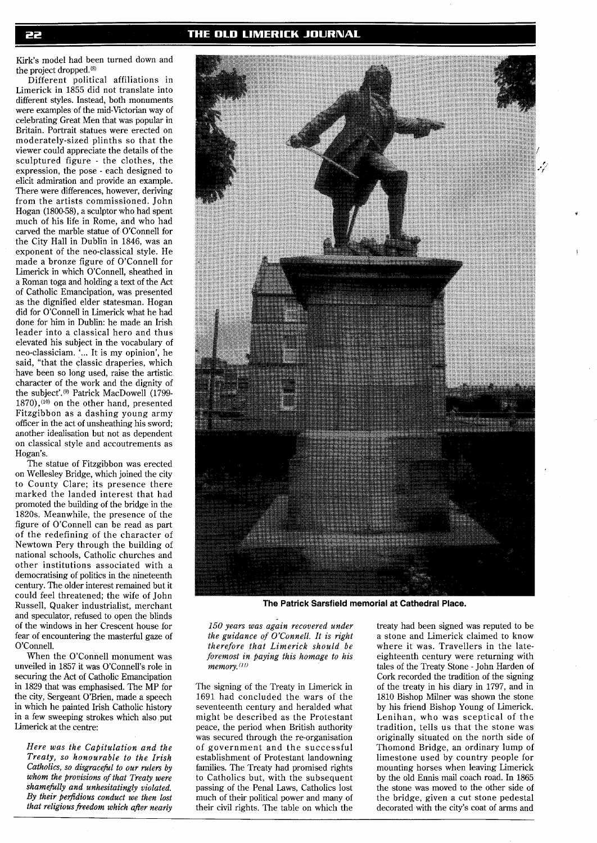Kirk's model had been turned down and the project dropped.<sup>(8)</sup>

Different political affiliations in Limerick in 1855 did not translate into different styles. Instead, both monuments were examples of the mid-Victorian way of celebrating Great Men that was popular in Britain. Portrait statues were erected on moderately-sized plinths so that the viewer could appreciate the details of the sculptured figure - the clothes, the expression, the pose - each designed to elicit admiration and provide an example. There were differences, however, deriving from the artists commissioned. John Hogan (1800-58), a sculptor who had spent much of his life in Rome, and who had carved the marble statue of O'Connell for the City Hall in Dublin in 1846, was an exponent of the neo-classical style. He made a bronze figure of O'Connell for Limerick in which O'Connell, sheathed in a Roman toga and holding a text of the Act of Catholic Emancipation, was presented as the dignified elder statesman. Hogan did for O'Connell in Limerick what he had done for him in Dublin: he made an Irish leader into a classical hero and thus elevated his subject in the vocabulary of neo-classiciam. '... It is my opinion', he said, "that the classic draperies, which have been so long used, raise the artistic character of the work and the dignity of the subject'.<sup>(9)</sup> Patrick MacDowell (1799-1870),<sup>(10)</sup> on the other hand, presented Fitzgibbon as a dashing young army officer in the act of unsheathing his sword; another idealisation but not as dependent on classical style and accoutrements as Hogan's.

The statue of Fitzgibbon was erected on Wellesley Bridge, which joined the city to County Clare; its presence there marked the landed interest that had promoted the building of the bridge in the 1820s. Meanwhile, the presence of the figure of O'Connell can be read as part of the redefining of the character of Newtown Pery through the building of national schools, Catholic churches and other institutions associated with a democratising of politics in the nineteenth century. The older interest remained but it could feel threatened; the wife of John Russell, Quaker industrialist, merchant and speculator, refused to open the blinds of the windows in her Crescent house for fear of encountering the masterful gaze of O'Connell.

When the O'Connell monument was unveiled in 1857 it was O'Connell's role in securing the Act of Catholic Emancipation in 1829 that was emphasised. The MP for the city, Sergeant O'Brien, made a speech in which he painted Irish Catholic history in a few sweeping strokes which also put Limerick at the centre:

*Here was the Ca@itulation and the Treaty, so honourable to the Irish Catholics, so disgracefil to our rulers by whom the provisions of that Treaty were shamefilly and unhesitatingly violated.*  By their perfidious conduct we then lost *that religious freedom which after nearly* 



**The Patrick Sarsfield memorial at Cathedral Place.** 

*150 years was again recovered under the guidance of O'Connell. It is right therefore that Limerick should be foremost in paying this homage to his*  memory.<sup>(11)</sup>

The signing of the Treaty in Limerick in 1691 had concluded the wars of the seventeenth century and heralded what might be described as the Protestant peace, the period when British authority was secured through the re-organisation of government and the successful establishment of Protestant landowning families. The Treaty had promised rights to Catholics but, with the subsequent passing of the Penal Laws, Catholics lost much of their political power and many of their civil rights. The table on which the

treaty had been signed was reputed to be a stone and Limerick claimed to know where it was. Travellers in the lateeighteenth century were returning with tales of the Treaty Stone - John Harden of Cork recorded the tradition of the signing of the treaty in his diary in 1797, and in 1810 Bishop Milner was shown the stone by his friend Bishop Young of Limerick. Lenihan, who was sceptical of the tradition, tells us that the stone was originally situated on the north side of Thomond Bridge, an ordinary lump of limestone used by country people for mounting horses when leaving Limerick by the old Ennis mail coach road. In 1865 the stone was moved to the other side of the bridge, given a cut stone pedestal decorated with the city's coat of arms and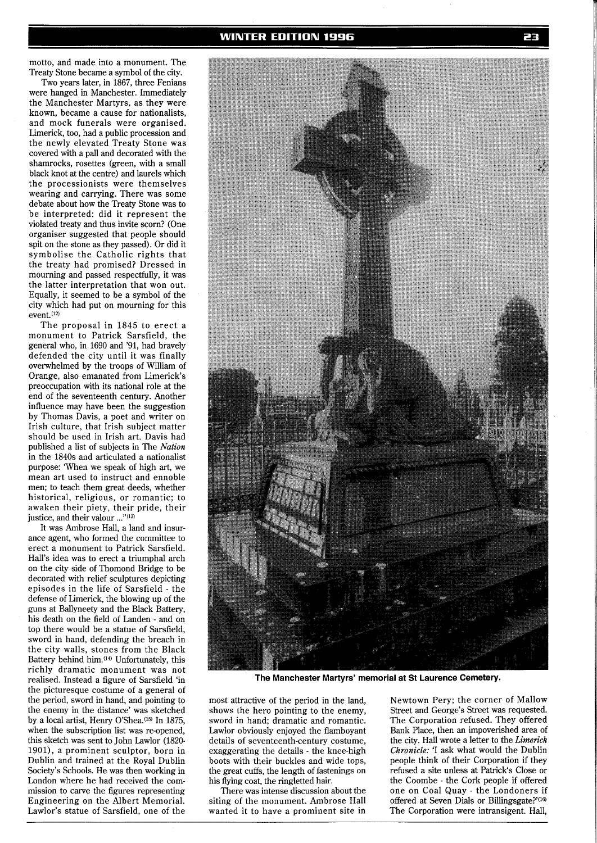motto, and made into a monument. The Treaty Stone became a symbol of the city.

Two years later, in 1867, three Fenians were hanged in Manchester. Immediately the Manchester Martyrs, as they were known, became a cause for nationalists, and mock funerals were organised. Limerick, too, had a public procession and the newly elevated Treaty Stone was covered with a pall and decorated with the shamrocks, rosettes (green, with a small black knot at the centre) and laurels which the processionists were themselves wearing and carrying. There was some debate about how the Treaty Stone was to be interpreted: did it represent the violated treaty and thus invite scorn? (One organiser suggested that people should spit on the stone as they passed). Or did it symbolise the Catholic rights that the treaty had promised? Dressed in mourning and passed respectfully, it was the latter interpretation that won out. Equally, it seemed to be a symbol of the city which had put on mourning for this event.<sup>(12)</sup>

The proposal in 1845 to erect a monument to Patrick Sarsfield, the general who, in 1690 and '91, had bravely defended the city until it was finally overwhelmed by the troops of William of Orange, also emanated from Limerick's preoccupation with its national role at the end of the seventeenth century. Another influence may have been the suggestion by Thomas Davis, a poet and writer on Irish culture, that Irish subject matter should be used in Irish art. Davis had published a list of subjects in The *Nation*  in the 1840s and articulated a nationalist purpose: When we speak of high art, we mean art used to instruct and ennoble men; to teach them great deeds, whether historical, religious, or romantic; to awaken their piety, their pride, their justice, and their valour ..."<sup>(13)</sup>

It was Ambrose Hall, a land and insurance agent, who formed the committee to erect a monument to Patrick Sarsfield. Hall's idea was to erect a triumphal arch on the city side of Thomond Bridge to be decorated with relief sculptures depicting episodes in the life of Sarsfield - the defense of Limerick, the blowing up of the guns at Ballyneety and the Black Battery, his death on the field of Landen - and on top there would be a statue of Sarsfield, sword in hand, defending the breach in the city walls, stones from the Black Battery behind him.<sup>(14)</sup> Unfortunately, this richly dramatic monument was not realised. Instead a figure of Sarsfield 'in the picturesque costume of a general of the period, sword in hand, and pointing to the enemy in the distance' was sketched by a local artist, Henry O'Shea.<sup>(15)</sup> In 1875, when the subscription list was re-opened, this sketch was sent to John Lawlor (1820- 1901), a prominent sculptor, born in Dublin and trained at the Royal Dublin Society's Schools. He was then working in London where he had received the commission to carve the figures representing Engineering on the Albert Memorial. Lawlor's statue of Sarsfield, one of the





**The Manchester Martyrs' memorial at St Laurence Cemetery.** 

most attractive of the period in the land, shows the hero pointing to the enemy, sword in hand; dramatic and romantic. Lawlor obviously enjoyed the flamboyant details of seventeenth-century costume, exaggerating the details - the knee-high boots with their buckles and wide tops, the great cuffs, the length of fastenings on his flying coat, the ringletted hair.

There was intense discussion about the siting of the monument. Ambrose Hall wanted it to have a prominent site in 22